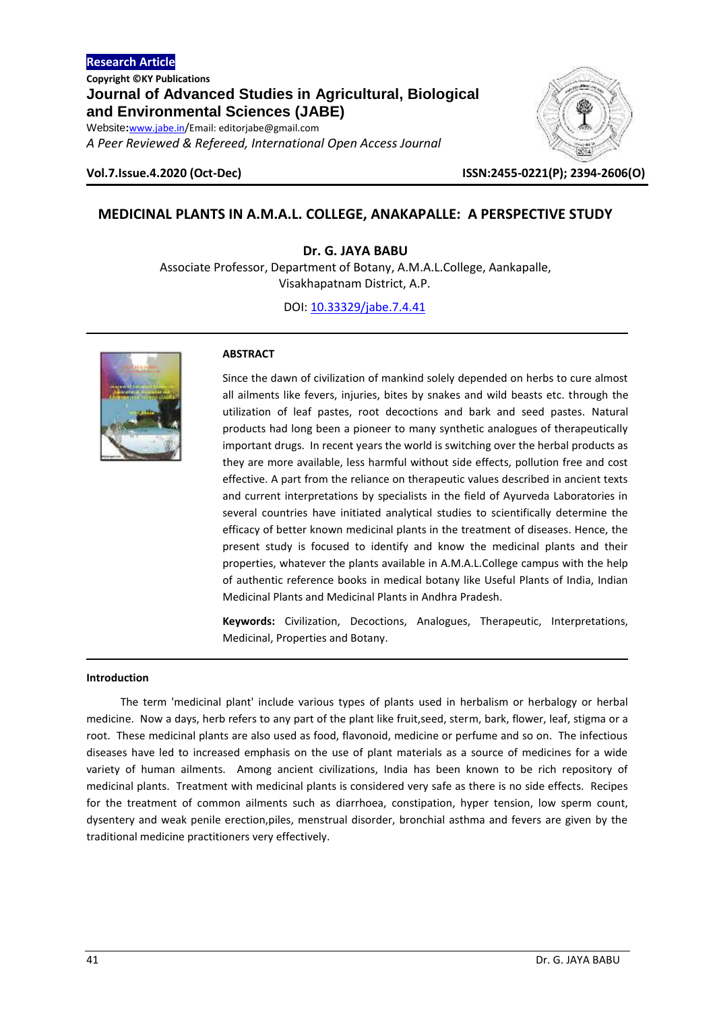*A Peer Reviewed & Refereed, International Open Access Journal*



**Vol.7.Issue.4.2020 (Oct-Dec) ISSN:2455-0221(P); 2394-2606(O)**

# **MEDICINAL PLANTS IN A.M.A.L. COLLEGE, ANAKAPALLE: A PERSPECTIVE STUDY**

**Dr. G. JAYA BABU**

Associate Professor, Department of Botany, A.M.A.L.College, Aankapalle, Visakhapatnam District, A.P.

DOI[: 10.33329/jabe.7.4.41](http://www.jabe.in/)



## **ABSTRACT**

Since the dawn of civilization of mankind solely depended on herbs to cure almost all ailments like fevers, injuries, bites by snakes and wild beasts etc. through the utilization of leaf pastes, root decoctions and bark and seed pastes. Natural products had long been a pioneer to many synthetic analogues of therapeutically important drugs. In recent years the world is switching over the herbal products as they are more available, less harmful without side effects, pollution free and cost effective. A part from the reliance on therapeutic values described in ancient texts and current interpretations by specialists in the field of Ayurveda Laboratories in several countries have initiated analytical studies to scientifically determine the efficacy of better known medicinal plants in the treatment of diseases. Hence, the present study is focused to identify and know the medicinal plants and their properties, whatever the plants available in A.M.A.L.College campus with the help of authentic reference books in medical botany like Useful Plants of India, Indian Medicinal Plants and Medicinal Plants in Andhra Pradesh.

**Keywords:** Civilization, Decoctions, Analogues, Therapeutic, Interpretations, Medicinal, Properties and Botany.

## **Introduction**

The term 'medicinal plant' include various types of plants used in herbalism or herbalogy or herbal medicine. Now a days, herb refers to any part of the plant like fruit,seed, sterm, bark, flower, leaf, stigma or a root. These medicinal plants are also used as food, flavonoid, medicine or perfume and so on. The infectious diseases have led to increased emphasis on the use of plant materials as a source of medicines for a wide variety of human ailments. Among ancient civilizations, India has been known to be rich repository of medicinal plants. Treatment with medicinal plants is considered very safe as there is no side effects. Recipes for the treatment of common ailments such as diarrhoea, constipation, hyper tension, low sperm count, dysentery and weak penile erection,piles, menstrual disorder, bronchial asthma and fevers are given by the traditional medicine practitioners very effectively.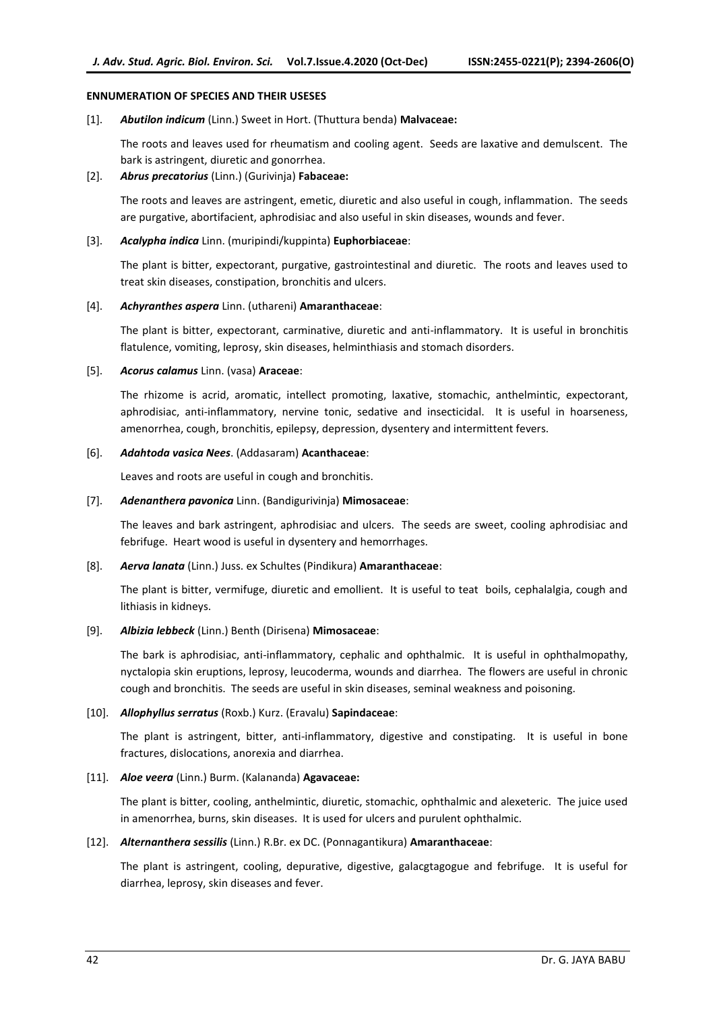## **ENNUMERATION OF SPECIES AND THEIR USESES**

## [1]. *Abutilon indicum* (Linn.) Sweet in Hort. (Thuttura benda) **Malvaceae:**

The roots and leaves used for rheumatism and cooling agent. Seeds are laxative and demulscent. The bark is astringent, diuretic and gonorrhea.

## [2]. *Abrus precatorius* (Linn.) (Gurivinja) **Fabaceae:**

The roots and leaves are astringent, emetic, diuretic and also useful in cough, inflammation. The seeds are purgative, abortifacient, aphrodisiac and also useful in skin diseases, wounds and fever.

## [3]. *Acalypha indica* Linn. (muripindi/kuppinta) **Euphorbiaceae**:

The plant is bitter, expectorant, purgative, gastrointestinal and diuretic. The roots and leaves used to treat skin diseases, constipation, bronchitis and ulcers.

## [4]. *Achyranthes aspera* Linn. (uthareni) **Amaranthaceae**:

The plant is bitter, expectorant, carminative, diuretic and anti-inflammatory. It is useful in bronchitis flatulence, vomiting, leprosy, skin diseases, helminthiasis and stomach disorders.

## [5]. *Acorus calamus* Linn. (vasa) **Araceae**:

The rhizome is acrid, aromatic, intellect promoting, laxative, stomachic, anthelmintic, expectorant, aphrodisiac, anti-inflammatory, nervine tonic, sedative and insecticidal. It is useful in hoarseness, amenorrhea, cough, bronchitis, epilepsy, depression, dysentery and intermittent fevers.

## [6]. *Adahtoda vasica Nees*. (Addasaram) **Acanthaceae**:

Leaves and roots are useful in cough and bronchitis.

## [7]. *Adenanthera pavonica* Linn. (Bandigurivinja) **Mimosaceae**:

The leaves and bark astringent, aphrodisiac and ulcers. The seeds are sweet, cooling aphrodisiac and febrifuge. Heart wood is useful in dysentery and hemorrhages.

## [8]. *Aerva lanata* (Linn.) Juss. ex Schultes (Pindikura) **Amaranthaceae**:

The plant is bitter, vermifuge, diuretic and emollient. It is useful to teat boils, cephalalgia, cough and lithiasis in kidneys.

## [9]. *Albizia lebbeck* (Linn.) Benth (Dirisena) **Mimosaceae**:

The bark is aphrodisiac, anti-inflammatory, cephalic and ophthalmic. It is useful in ophthalmopathy, nyctalopia skin eruptions, leprosy, leucoderma, wounds and diarrhea. The flowers are useful in chronic cough and bronchitis. The seeds are useful in skin diseases, seminal weakness and poisoning.

## [10]. *Allophyllus serratus* (Roxb.) Kurz. (Eravalu) **Sapindaceae**:

The plant is astringent, bitter, anti-inflammatory, digestive and constipating. It is useful in bone fractures, dislocations, anorexia and diarrhea.

#### [11]. *Aloe veera* (Linn.) Burm. (Kalananda) **Agavaceae:**

The plant is bitter, cooling, anthelmintic, diuretic, stomachic, ophthalmic and alexeteric. The juice used in amenorrhea, burns, skin diseases. It is used for ulcers and purulent ophthalmic.

## [12]. *Alternanthera sessilis* (Linn.) R.Br. ex DC. (Ponnagantikura) **Amaranthaceae**:

The plant is astringent, cooling, depurative, digestive, galacgtagogue and febrifuge. It is useful for diarrhea, leprosy, skin diseases and fever.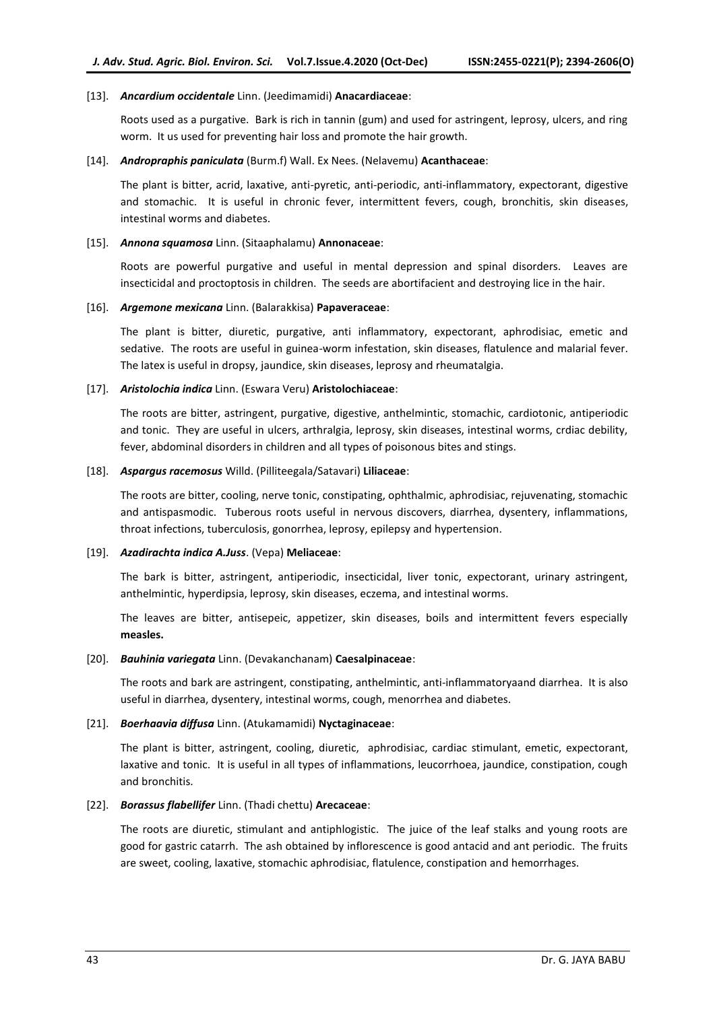## [13]. *Ancardium occidentale* Linn. (Jeedimamidi) **Anacardiaceae**:

Roots used as a purgative. Bark is rich in tannin (gum) and used for astringent, leprosy, ulcers, and ring worm. It us used for preventing hair loss and promote the hair growth.

## [14]. *Andropraphis paniculata* (Burm.f) Wall. Ex Nees. (Nelavemu) **Acanthaceae**:

The plant is bitter, acrid, laxative, anti-pyretic, anti-periodic, anti-inflammatory, expectorant, digestive and stomachic. It is useful in chronic fever, intermittent fevers, cough, bronchitis, skin diseases, intestinal worms and diabetes.

## [15]. *Annona squamosa* Linn. (Sitaaphalamu) **Annonaceae**:

Roots are powerful purgative and useful in mental depression and spinal disorders. Leaves are insecticidal and proctoptosis in children. The seeds are abortifacient and destroying lice in the hair.

## [16]. *Argemone mexicana* Linn. (Balarakkisa) **Papaveraceae**:

The plant is bitter, diuretic, purgative, anti inflammatory, expectorant, aphrodisiac, emetic and sedative. The roots are useful in guinea-worm infestation, skin diseases, flatulence and malarial fever. The latex is useful in dropsy, jaundice, skin diseases, leprosy and rheumatalgia.

## [17]. *Aristolochia indica* Linn. (Eswara Veru) **Aristolochiaceae**:

The roots are bitter, astringent, purgative, digestive, anthelmintic, stomachic, cardiotonic, antiperiodic and tonic. They are useful in ulcers, arthralgia, leprosy, skin diseases, intestinal worms, crdiac debility, fever, abdominal disorders in children and all types of poisonous bites and stings.

## [18]. *Aspargus racemosus* Willd. (Pilliteegala/Satavari) **Liliaceae**:

The roots are bitter, cooling, nerve tonic, constipating, ophthalmic, aphrodisiac, rejuvenating, stomachic and antispasmodic. Tuberous roots useful in nervous discovers, diarrhea, dysentery, inflammations, throat infections, tuberculosis, gonorrhea, leprosy, epilepsy and hypertension.

#### [19]. *Azadirachta indica A.Juss*. (Vepa) **Meliaceae**:

The bark is bitter, astringent, antiperiodic, insecticidal, liver tonic, expectorant, urinary astringent, anthelmintic, hyperdipsia, leprosy, skin diseases, eczema, and intestinal worms.

The leaves are bitter, antisepeic, appetizer, skin diseases, boils and intermittent fevers especially **measles.**

#### [20]. *Bauhinia variegata* Linn. (Devakanchanam) **Caesalpinaceae**:

The roots and bark are astringent, constipating, anthelmintic, anti-inflammatoryaand diarrhea. It is also useful in diarrhea, dysentery, intestinal worms, cough, menorrhea and diabetes.

## [21]. *Boerhaavia diffusa* Linn. (Atukamamidi) **Nyctaginaceae**:

The plant is bitter, astringent, cooling, diuretic, aphrodisiac, cardiac stimulant, emetic, expectorant, laxative and tonic. It is useful in all types of inflammations, leucorrhoea, jaundice, constipation, cough and bronchitis.

#### [22]. *Borassus flabellifer* Linn. (Thadi chettu) **Arecaceae**:

The roots are diuretic, stimulant and antiphlogistic. The juice of the leaf stalks and young roots are good for gastric catarrh. The ash obtained by inflorescence is good antacid and ant periodic. The fruits are sweet, cooling, laxative, stomachic aphrodisiac, flatulence, constipation and hemorrhages.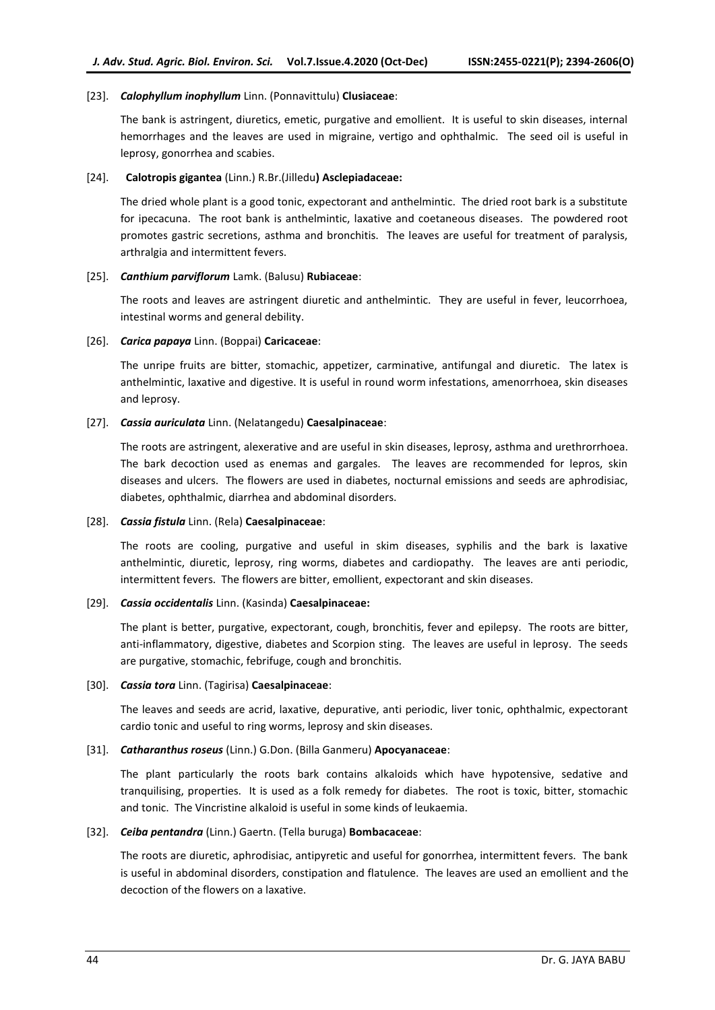## [23]. *Calophyllum inophyllum* Linn. (Ponnavittulu) **Clusiaceae**:

The bank is astringent, diuretics, emetic, purgative and emollient. It is useful to skin diseases, internal hemorrhages and the leaves are used in migraine, vertigo and ophthalmic. The seed oil is useful in leprosy, gonorrhea and scabies.

## [24]. **Calotropis gigantea** (Linn.) R.Br.(Jilledu**) Asclepiadaceae:**

The dried whole plant is a good tonic, expectorant and anthelmintic. The dried root bark is a substitute for ipecacuna. The root bank is anthelmintic, laxative and coetaneous diseases. The powdered root promotes gastric secretions, asthma and bronchitis. The leaves are useful for treatment of paralysis, arthralgia and intermittent fevers.

## [25]. *Canthium parviflorum* Lamk. (Balusu) **Rubiaceae**:

The roots and leaves are astringent diuretic and anthelmintic. They are useful in fever, leucorrhoea, intestinal worms and general debility.

## [26]. *Carica papaya* Linn. (Boppai) **Caricaceae**:

The unripe fruits are bitter, stomachic, appetizer, carminative, antifungal and diuretic. The latex is anthelmintic, laxative and digestive. It is useful in round worm infestations, amenorrhoea, skin diseases and leprosy.

## [27]. *Cassia auriculata* Linn. (Nelatangedu) **Caesalpinaceae**:

The roots are astringent, alexerative and are useful in skin diseases, leprosy, asthma and urethrorrhoea. The bark decoction used as enemas and gargales. The leaves are recommended for lepros, skin diseases and ulcers. The flowers are used in diabetes, nocturnal emissions and seeds are aphrodisiac, diabetes, ophthalmic, diarrhea and abdominal disorders.

## [28]. *Cassia fistula* Linn. (Rela) **Caesalpinaceae**:

The roots are cooling, purgative and useful in skim diseases, syphilis and the bark is laxative anthelmintic, diuretic, leprosy, ring worms, diabetes and cardiopathy. The leaves are anti periodic, intermittent fevers. The flowers are bitter, emollient, expectorant and skin diseases.

## [29]. *Cassia occidentalis* Linn. (Kasinda) **Caesalpinaceae:**

The plant is better, purgative, expectorant, cough, bronchitis, fever and epilepsy. The roots are bitter, anti-inflammatory, digestive, diabetes and Scorpion sting. The leaves are useful in leprosy. The seeds are purgative, stomachic, febrifuge, cough and bronchitis.

#### [30]. *Cassia tora* Linn. (Tagirisa) **Caesalpinaceae**:

The leaves and seeds are acrid, laxative, depurative, anti periodic, liver tonic, ophthalmic, expectorant cardio tonic and useful to ring worms, leprosy and skin diseases.

## [31]. *Catharanthus roseus* (Linn.) G.Don. (Billa Ganmeru) **Apocyanaceae**:

The plant particularly the roots bark contains alkaloids which have hypotensive, sedative and tranquilising, properties. It is used as a folk remedy for diabetes. The root is toxic, bitter, stomachic and tonic. The Vincristine alkaloid is useful in some kinds of leukaemia.

#### [32]. *Ceiba pentandra* (Linn.) Gaertn. (Tella buruga) **Bombacaceae**:

The roots are diuretic, aphrodisiac, antipyretic and useful for gonorrhea, intermittent fevers. The bank is useful in abdominal disorders, constipation and flatulence. The leaves are used an emollient and the decoction of the flowers on a laxative.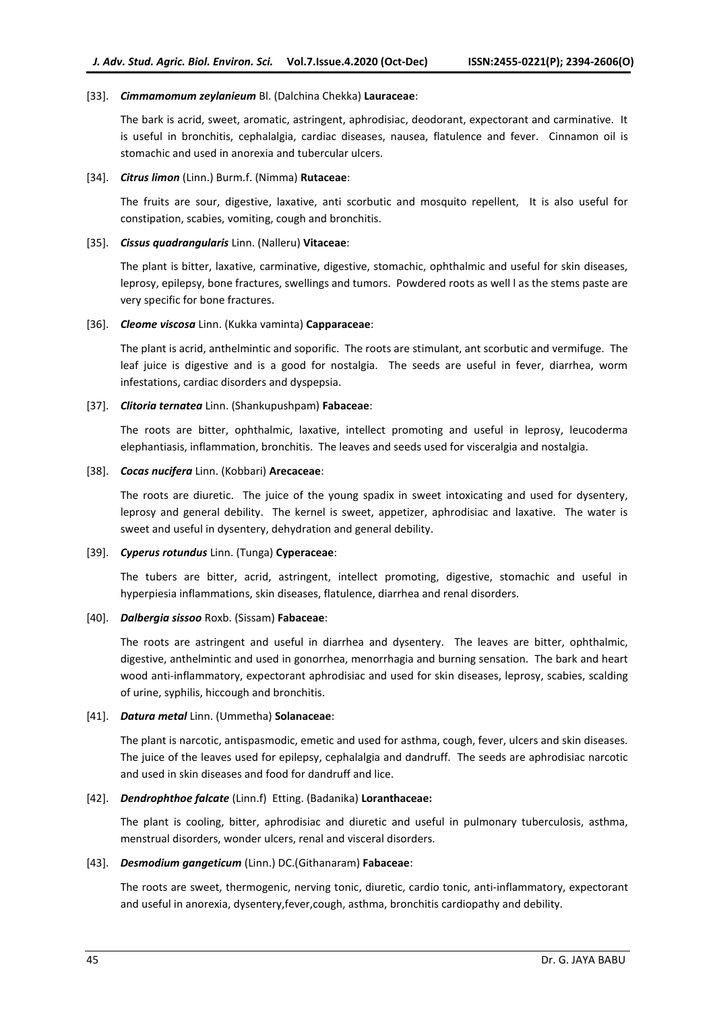## [33]. *Cimmamomum zeylanieum* Bl. (Dalchina Chekka) **Lauraceae**:

The bark is acrid, sweet, aromatic, astringent, aphrodisiac, deodorant, expectorant and carminative. It is useful in bronchitis, cephalalgia, cardiac diseases, nausea, flatulence and fever. Cinnamon oil is stomachic and used in anorexia and tubercular ulcers.

## [34]. *Citrus limon* (Linn.) Burm.f. (Nimma) **Rutaceae**:

The fruits are sour, digestive, laxative, anti scorbutic and mosquito repellent, It is also useful for constipation, scabies, vomiting, cough and bronchitis.

## [35]. *Cissus quadrangularis* Linn. (Nalleru) **Vitaceae**:

The plant is bitter, laxative, carminative, digestive, stomachic, ophthalmic and useful for skin diseases, leprosy, epilepsy, bone fractures, swellings and tumors. Powdered roots as well l as the stems paste are very specific for bone fractures.

## [36]. *Cleome viscosa* Linn. (Kukka vaminta) **Capparaceae**:

The plant is acrid, anthelmintic and soporific. The roots are stimulant, ant scorbutic and vermifuge. The leaf juice is digestive and is a good for nostalgia. The seeds are useful in fever, diarrhea, worm infestations, cardiac disorders and dyspepsia.

## [37]. *Clitoria ternatea* Linn. (Shankupushpam) **Fabaceae**:

The roots are bitter, ophthalmic, laxative, intellect promoting and useful in leprosy, leucoderma elephantiasis, inflammation, bronchitis. The leaves and seeds used for visceralgia and nostalgia.

## [38]. *Cocas nucifera* Linn. (Kobbari) **Arecaceae**:

The roots are diuretic. The juice of the young spadix in sweet intoxicating and used for dysentery, leprosy and general debility. The kernel is sweet, appetizer, aphrodisiac and laxative. The water is sweet and useful in dysentery, dehydration and general debility.

#### [39]. *Cyperus rotundus* Linn. (Tunga) **Cyperaceae**:

The tubers are bitter, acrid, astringent, intellect promoting, digestive, stomachic and useful in hyperpiesia inflammations, skin diseases, flatulence, diarrhea and renal disorders.

## [40]. *Dalbergia sissoo* Roxb. (Sissam) **Fabaceae**:

The roots are astringent and useful in diarrhea and dysentery. The leaves are bitter, ophthalmic, digestive, anthelmintic and used in gonorrhea, menorrhagia and burning sensation. The bark and heart wood anti-inflammatory, expectorant aphrodisiac and used for skin diseases, leprosy, scabies, scalding of urine, syphilis, hiccough and bronchitis.

## [41]. *Datura metal* Linn. (Ummetha) **Solanaceae**:

The plant is narcotic, antispasmodic, emetic and used for asthma, cough, fever, ulcers and skin diseases. The juice of the leaves used for epilepsy, cephalalgia and dandruff. The seeds are aphrodisiac narcotic and used in skin diseases and food for dandruff and lice.

## [42]. *Dendrophthoe falcate* (Linn.f) Etting. (Badanika) **Loranthaceae:**

The plant is cooling, bitter, aphrodisiac and diuretic and useful in pulmonary tuberculosis, asthma, menstrual disorders, wonder ulcers, renal and visceral disorders.

## [43]. *Desmodium gangeticum* (Linn.) DC.(Githanaram) **Fabaceae**:

The roots are sweet, thermogenic, nerving tonic, diuretic, cardio tonic, anti-inflammatory, expectorant and useful in anorexia, dysentery,fever,cough, asthma, bronchitis cardiopathy and debility.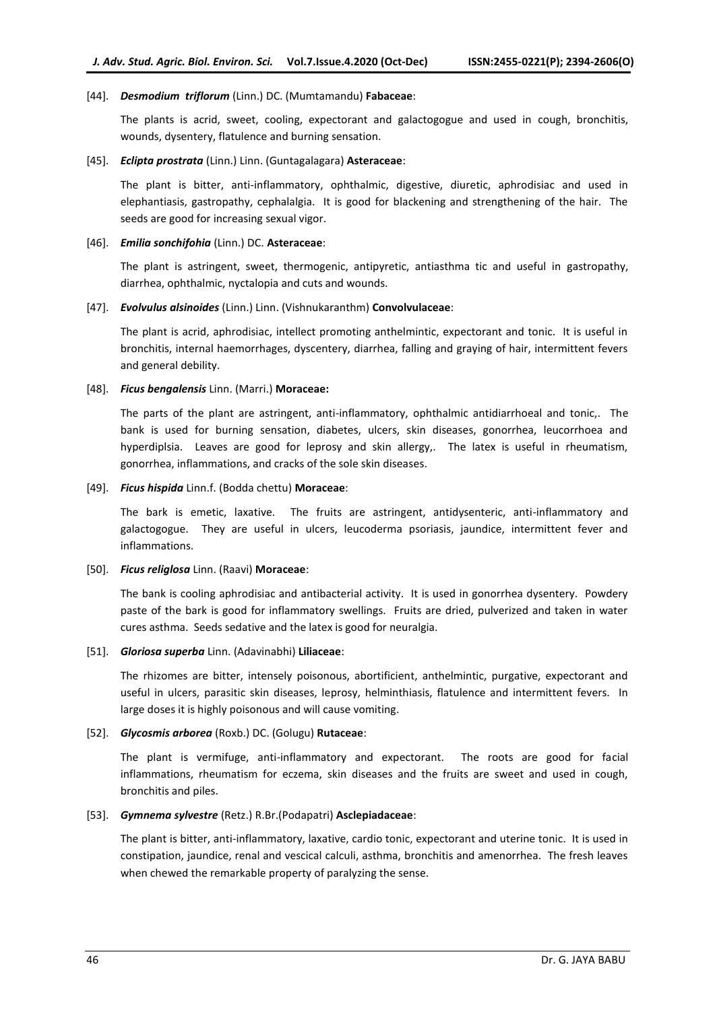## [44]. *Desmodium triflorum* (Linn.) DC. (Mumtamandu) **Fabaceae**:

The plants is acrid, sweet, cooling, expectorant and galactogogue and used in cough, bronchitis, wounds, dysentery, flatulence and burning sensation.

#### [45]. *Eclipta prostrata* (Linn.) Linn. (Guntagalagara) **Asteraceae**:

The plant is bitter, anti-inflammatory, ophthalmic, digestive, diuretic, aphrodisiac and used in elephantiasis, gastropathy, cephalalgia. It is good for blackening and strengthening of the hair. The seeds are good for increasing sexual vigor.

## [46]. *Emilia sonchifohia* (Linn.) DC. **Asteraceae**:

The plant is astringent, sweet, thermogenic, antipyretic, antiasthma tic and useful in gastropathy, diarrhea, ophthalmic, nyctalopia and cuts and wounds.

## [47]. *Evolvulus alsinoides* (Linn.) Linn. (Vishnukaranthm) **Convolvulaceae**:

The plant is acrid, aphrodisiac, intellect promoting anthelmintic, expectorant and tonic. It is useful in bronchitis, internal haemorrhages, dyscentery, diarrhea, falling and graying of hair, intermittent fevers and general debility.

## [48]. *Ficus bengalensis* Linn. (Marri.) **Moraceae:**

The parts of the plant are astringent, anti-inflammatory, ophthalmic antidiarrhoeal and tonic,. The bank is used for burning sensation, diabetes, ulcers, skin diseases, gonorrhea, leucorrhoea and hyperdiplsia. Leaves are good for leprosy and skin allergy,. The latex is useful in rheumatism, gonorrhea, inflammations, and cracks of the sole skin diseases.

## [49]. *Ficus hispida* Linn.f. (Bodda chettu) **Moraceae**:

The bark is emetic, laxative. The fruits are astringent, antidysenteric, anti-inflammatory and galactogogue. They are useful in ulcers, leucoderma psoriasis, jaundice, intermittent fever and inflammations.

#### [50]. *Ficus religlosa* Linn. (Raavi) **Moraceae**:

The bank is cooling aphrodisiac and antibacterial activity. It is used in gonorrhea dysentery. Powdery paste of the bark is good for inflammatory swellings. Fruits are dried, pulverized and taken in water cures asthma. Seeds sedative and the latex is good for neuralgia.

## [51]. *Gloriosa superba* Linn. (Adavinabhi) **Liliaceae**:

The rhizomes are bitter, intensely poisonous, abortificient, anthelmintic, purgative, expectorant and useful in ulcers, parasitic skin diseases, leprosy, helminthiasis, flatulence and intermittent fevers. In large doses it is highly poisonous and will cause vomiting.

## [52]. *Glycosmis arborea* (Roxb.) DC. (Golugu) **Rutaceae**:

The plant is vermifuge, anti-inflammatory and expectorant. The roots are good for facial inflammations, rheumatism for eczema, skin diseases and the fruits are sweet and used in cough, bronchitis and piles.

## [53]. *Gymnema sylvestre* (Retz.) R.Br.(Podapatri) **Asclepiadaceae**:

The plant is bitter, anti-inflammatory, laxative, cardio tonic, expectorant and uterine tonic. It is used in constipation, jaundice, renal and vescical calculi, asthma, bronchitis and amenorrhea. The fresh leaves when chewed the remarkable property of paralyzing the sense.